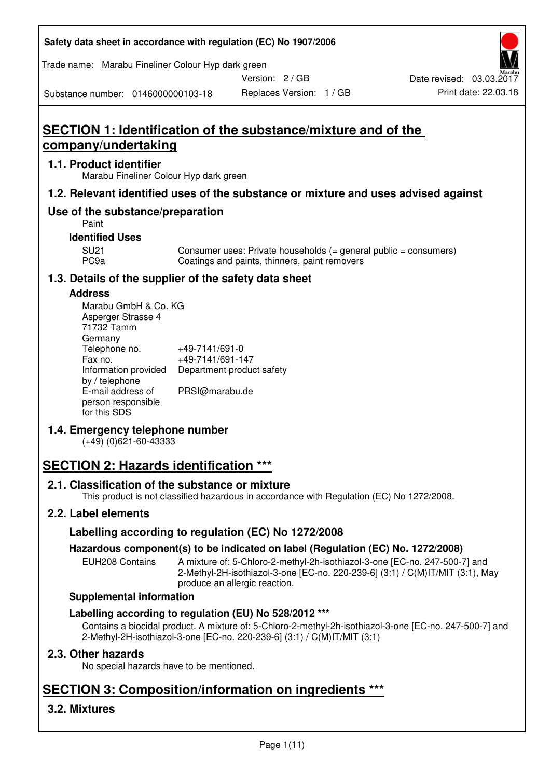| Safety data sheet in accordance with regulation (EC) No 1907/2006 |  |
|-------------------------------------------------------------------|--|
|-------------------------------------------------------------------|--|

Trade name: Marabu Fineliner Colour Hyp dark green

Version: 2 / GB

Substance number: 0146000000103-18

# **SECTION 1: Identification of the substance/mixture and of the company/undertaking**

## **1.1. Product identifier**

Marabu Fineliner Colour Hyp dark green

## **1.2. Relevant identified uses of the substance or mixture and uses advised against**

## **Use of the substance/preparation**

Paint

#### **Identified Uses**

SU21 Consumer uses: Private households (= general public = consumers)<br>PC9a Coatings and paints, thinners, paint removers Coatings and paints, thinners, paint removers

## **1.3. Details of the supplier of the safety data sheet**

#### **Address**

| Marabu GmbH & Co. KG |                           |
|----------------------|---------------------------|
| Asperger Strasse 4   |                           |
| 71732 Tamm           |                           |
| Germany              |                           |
| Telephone no.        | +49-7141/691-0            |
| Fax no.              | +49-7141/691-147          |
| Information provided | Department product safety |
| by / telephone       |                           |
| E-mail address of    | PRSI@marabu.de            |
| person responsible   |                           |
| for this SDS         |                           |

## **1.4. Emergency telephone number**

(+49) (0)621-60-43333

# **SECTION 2: Hazards identification \*\*\***

## **2.1. Classification of the substance or mixture**

This product is not classified hazardous in accordance with Regulation (EC) No 1272/2008.

## **2.2. Label elements**

## **Labelling according to regulation (EC) No 1272/2008**

## **Hazardous component(s) to be indicated on label (Regulation (EC) No. 1272/2008)**

EUH208 Contains A mixture of: 5-Chloro-2-methyl-2h-isothiazol-3-one [EC-no. 247-500-7] and 2-Methyl-2H-isothiazol-3-one [EC-no. 220-239-6] (3:1) / C(M)IT/MIT (3:1), May produce an allergic reaction.

#### **Supplemental information**

## **Labelling according to regulation (EU) No 528/2012 \*\*\***

Contains a biocidal product. A mixture of: 5-Chloro-2-methyl-2h-isothiazol-3-one [EC-no. 247-500-7] and 2-Methyl-2H-isothiazol-3-one [EC-no. 220-239-6] (3:1) / C(M)IT/MIT (3:1)

## **2.3. Other hazards**

No special hazards have to be mentioned.

# **SECTION 3: Composition/information on ingredients \*\*\***

## **3.2. Mixtures**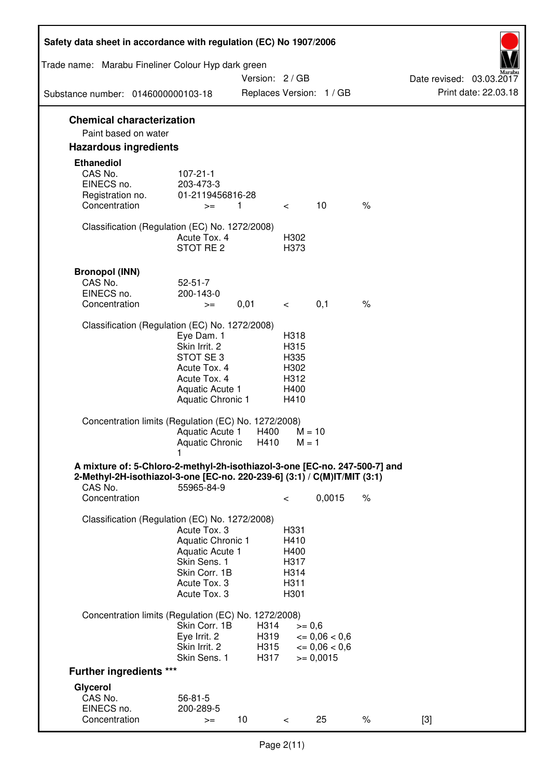| Safety data sheet in accordance with regulation (EC) No 1907/2006                                                                                                 |                                                                                                                       |                      |                                                      |                                                                   |               |                          |
|-------------------------------------------------------------------------------------------------------------------------------------------------------------------|-----------------------------------------------------------------------------------------------------------------------|----------------------|------------------------------------------------------|-------------------------------------------------------------------|---------------|--------------------------|
| Trade name: Marabu Fineliner Colour Hyp dark green                                                                                                                |                                                                                                                       | Version: 2 / GB      |                                                      |                                                                   |               | Date revised: 03.03.2017 |
| Substance number: 0146000000103-18                                                                                                                                |                                                                                                                       |                      |                                                      | Replaces Version: 1 / GB                                          |               | Print date: 22.03.18     |
| <b>Chemical characterization</b><br>Paint based on water                                                                                                          |                                                                                                                       |                      |                                                      |                                                                   |               |                          |
| <b>Hazardous ingredients</b>                                                                                                                                      |                                                                                                                       |                      |                                                      |                                                                   |               |                          |
| <b>Ethanediol</b><br>CAS No.<br>EINECS no.<br>Registration no.<br>Concentration                                                                                   | $107 - 21 - 1$<br>203-473-3<br>01-2119456816-28<br>$>=$                                                               | $\mathbf{1}$         | $\lt$                                                | 10                                                                | $\frac{1}{6}$ |                          |
| Classification (Regulation (EC) No. 1272/2008)                                                                                                                    | Acute Tox. 4<br>STOT RE <sub>2</sub>                                                                                  |                      | H302<br>H373                                         |                                                                   |               |                          |
| <b>Bronopol (INN)</b><br>CAS No.<br>EINECS no.<br>Concentration                                                                                                   | $52 - 51 - 7$<br>200-143-0<br>$>=$                                                                                    | 0,01                 | $\lt$                                                | 0,1                                                               | $\%$          |                          |
| Classification (Regulation (EC) No. 1272/2008)                                                                                                                    | Eye Dam. 1<br>Skin Irrit. 2<br>STOT SE3<br>Acute Tox. 4<br>Acute Tox. 4<br>Aquatic Acute 1<br>Aquatic Chronic 1       |                      | H318<br>H315<br>H335<br>H302<br>H312<br>H400<br>H410 |                                                                   |               |                          |
| Concentration limits (Regulation (EC) No. 1272/2008)                                                                                                              | Aquatic Acute 1<br><b>Aquatic Chronic</b>                                                                             | H400<br>H410         | $M = 10$<br>$M = 1$                                  |                                                                   |               |                          |
| A mixture of: 5-Chloro-2-methyl-2h-isothiazol-3-one [EC-no. 247-500-7] and<br>2-Methyl-2H-isothiazol-3-one [EC-no. 220-239-6] (3:1) / C(M)IT/MIT (3:1)<br>CAS No. | 55965-84-9                                                                                                            |                      |                                                      |                                                                   |               |                          |
| Concentration                                                                                                                                                     |                                                                                                                       |                      | $\,<\,$                                              | 0,0015                                                            | $\%$          |                          |
| Classification (Regulation (EC) No. 1272/2008)                                                                                                                    | Acute Tox, 3<br>Aquatic Chronic 1<br>Aquatic Acute 1<br>Skin Sens. 1<br>Skin Corr. 1B<br>Acute Tox. 3<br>Acute Tox. 3 |                      | H331<br>H410<br>H400<br>H317<br>H314<br>H311<br>H301 |                                                                   |               |                          |
| Concentration limits (Regulation (EC) No. 1272/2008)                                                                                                              | Skin Corr. 1B                                                                                                         | H314                 | $>= 0,6$                                             |                                                                   |               |                          |
|                                                                                                                                                                   | Eye Irrit. 2<br>Skin Irrit. 2<br>Skin Sens. 1                                                                         | H319<br>H315<br>H317 |                                                      | $\epsilon = 0.06 < 0.6$<br>$\epsilon = 0.06 < 0.6$<br>$>= 0,0015$ |               |                          |
| <b>Further ingredients ***</b>                                                                                                                                    |                                                                                                                       |                      |                                                      |                                                                   |               |                          |
| Glycerol<br>CAS No.<br>EINECS no.                                                                                                                                 | $56 - 81 - 5$<br>200-289-5                                                                                            |                      |                                                      |                                                                   |               |                          |
| Concentration                                                                                                                                                     | $>=$                                                                                                                  | 10                   | $\,<\,$                                              | 25                                                                | $\%$          | $[3]$                    |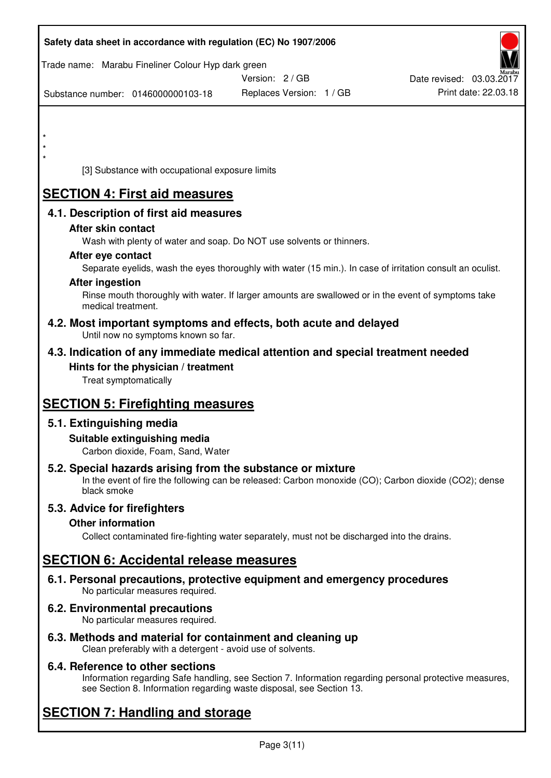| Safety data sheet in accordance with regulation (EC) No 1907/2006                                            |                                                                                                            |                                                  |
|--------------------------------------------------------------------------------------------------------------|------------------------------------------------------------------------------------------------------------|--------------------------------------------------|
| Trade name: Marabu Fineliner Colour Hyp dark green                                                           |                                                                                                            |                                                  |
|                                                                                                              | Version: 2 / GB                                                                                            | Date revised: 03.03.2017<br>Print date: 22.03.18 |
| Substance number: 0146000000103-18                                                                           | Replaces Version: 1 / GB                                                                                   |                                                  |
|                                                                                                              |                                                                                                            |                                                  |
| $\star$                                                                                                      |                                                                                                            |                                                  |
|                                                                                                              |                                                                                                            |                                                  |
| [3] Substance with occupational exposure limits                                                              |                                                                                                            |                                                  |
| <b>SECTION 4: First aid measures</b>                                                                         |                                                                                                            |                                                  |
| 4.1. Description of first aid measures                                                                       |                                                                                                            |                                                  |
| After skin contact                                                                                           |                                                                                                            |                                                  |
| Wash with plenty of water and soap. Do NOT use solvents or thinners.<br>After eye contact                    |                                                                                                            |                                                  |
|                                                                                                              | Separate eyelids, wash the eyes thoroughly with water (15 min.). In case of irritation consult an oculist. |                                                  |
| <b>After ingestion</b>                                                                                       |                                                                                                            |                                                  |
| medical treatment.                                                                                           | Rinse mouth thoroughly with water. If larger amounts are swallowed or in the event of symptoms take        |                                                  |
| 4.2. Most important symptoms and effects, both acute and delayed<br>Until now no symptoms known so far.      |                                                                                                            |                                                  |
| 4.3. Indication of any immediate medical attention and special treatment needed                              |                                                                                                            |                                                  |
| Hints for the physician / treatment                                                                          |                                                                                                            |                                                  |
| Treat symptomatically                                                                                        |                                                                                                            |                                                  |
| <b>SECTION 5: Firefighting measures</b>                                                                      |                                                                                                            |                                                  |
| 5.1. Extinguishing media                                                                                     |                                                                                                            |                                                  |
| Suitable extinguishing media<br>Carbon dioxide, Foam, Sand, Water                                            |                                                                                                            |                                                  |
| 5.2. Special hazards arising from the substance or mixture                                                   | In the event of fire the following can be released: Carbon monoxide (CO); Carbon dioxide (CO2); dense      |                                                  |
| black smoke                                                                                                  |                                                                                                            |                                                  |
| 5.3. Advice for firefighters                                                                                 |                                                                                                            |                                                  |
| <b>Other information</b>                                                                                     |                                                                                                            |                                                  |
|                                                                                                              | Collect contaminated fire-fighting water separately, must not be discharged into the drains.               |                                                  |
| <b>SECTION 6: Accidental release measures</b>                                                                |                                                                                                            |                                                  |
| 6.1. Personal precautions, protective equipment and emergency procedures<br>No particular measures required. |                                                                                                            |                                                  |
| 6.2. Environmental precautions<br>No particular measures required.                                           |                                                                                                            |                                                  |
| 6.3. Methods and material for containment and cleaning up                                                    |                                                                                                            |                                                  |

Clean preferably with a detergent - avoid use of solvents.

## **6.4. Reference to other sections**

Information regarding Safe handling, see Section 7. Information regarding personal protective measures, see Section 8. Information regarding waste disposal, see Section 13.

# **SECTION 7: Handling and storage**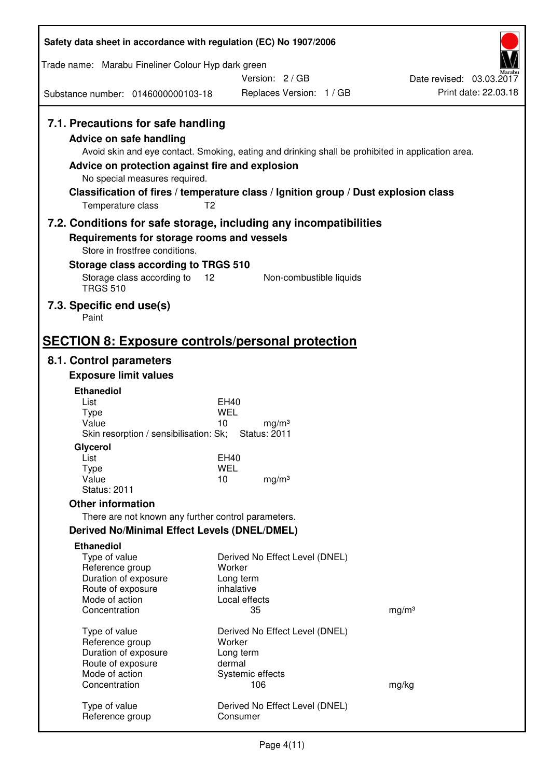| Safety data sheet in accordance with regulation (EC) No 1907/2006                                                                                                    |                                                                                                                                                                                                            |                          |
|----------------------------------------------------------------------------------------------------------------------------------------------------------------------|------------------------------------------------------------------------------------------------------------------------------------------------------------------------------------------------------------|--------------------------|
| Trade name: Marabu Fineliner Colour Hyp dark green                                                                                                                   |                                                                                                                                                                                                            |                          |
|                                                                                                                                                                      | Version: 2/GB                                                                                                                                                                                              | Date revised: 03.03.2017 |
| Substance number: 0146000000103-18                                                                                                                                   | Replaces Version: 1 / GB                                                                                                                                                                                   | Print date: 22.03.18     |
| 7.1. Precautions for safe handling<br><b>Advice on safe handling</b><br>Advice on protection against fire and explosion<br>No special measures required.             | Avoid skin and eye contact. Smoking, eating and drinking shall be prohibited in application area.<br>Classification of fires / temperature class / Ignition group / Dust explosion class<br>T <sub>2</sub> |                          |
| Temperature class                                                                                                                                                    |                                                                                                                                                                                                            |                          |
| Requirements for storage rooms and vessels<br>Store in frostfree conditions.<br>Storage class according to TRGS 510<br>Storage class according to<br><b>TRGS 510</b> | 7.2. Conditions for safe storage, including any incompatibilities<br>Non-combustible liquids<br>12                                                                                                         |                          |
|                                                                                                                                                                      |                                                                                                                                                                                                            |                          |
| 7.3. Specific end use(s)<br>Paint                                                                                                                                    |                                                                                                                                                                                                            |                          |
|                                                                                                                                                                      |                                                                                                                                                                                                            |                          |
|                                                                                                                                                                      | <b>SECTION 8: Exposure controls/personal protection</b>                                                                                                                                                    |                          |
| 8.1. Control parameters                                                                                                                                              |                                                                                                                                                                                                            |                          |
| <b>Exposure limit values</b>                                                                                                                                         |                                                                                                                                                                                                            |                          |
| <b>Ethanediol</b><br>List                                                                                                                                            | EH40                                                                                                                                                                                                       |                          |
| <b>Type</b>                                                                                                                                                          | WEL                                                                                                                                                                                                        |                          |
| Value<br>Skin resorption / sensibilisation: Sk;                                                                                                                      | 10<br>mg/m <sup>3</sup><br><b>Status: 2011</b>                                                                                                                                                             |                          |
| Glycerol                                                                                                                                                             |                                                                                                                                                                                                            |                          |
| List<br>Type                                                                                                                                                         | <b>EH40</b><br><b>WEL</b>                                                                                                                                                                                  |                          |
| Value                                                                                                                                                                | 10<br>mg/m <sup>3</sup>                                                                                                                                                                                    |                          |
| <b>Status: 2011</b>                                                                                                                                                  |                                                                                                                                                                                                            |                          |
| <b>Other information</b>                                                                                                                                             |                                                                                                                                                                                                            |                          |
| There are not known any further control parameters.<br>Derived No/Minimal Effect Levels (DNEL/DMEL)                                                                  |                                                                                                                                                                                                            |                          |
| <b>Ethanediol</b>                                                                                                                                                    |                                                                                                                                                                                                            |                          |
| Type of value<br>Reference group<br>Duration of exposure<br>Route of exposure<br>Mode of action                                                                      | Derived No Effect Level (DNEL)<br>Worker<br>Long term<br>inhalative<br>Local effects                                                                                                                       |                          |
| Concentration                                                                                                                                                        | 35                                                                                                                                                                                                         | mg/m <sup>3</sup>        |
| Type of value<br>Reference group<br>Duration of exposure<br>Route of exposure<br>Mode of action                                                                      | Derived No Effect Level (DNEL)<br>Worker<br>Long term<br>dermal<br>Systemic effects                                                                                                                        |                          |
| Concentration                                                                                                                                                        | 106                                                                                                                                                                                                        | mg/kg                    |
| Type of value<br>Reference group                                                                                                                                     | Derived No Effect Level (DNEL)<br>Consumer                                                                                                                                                                 |                          |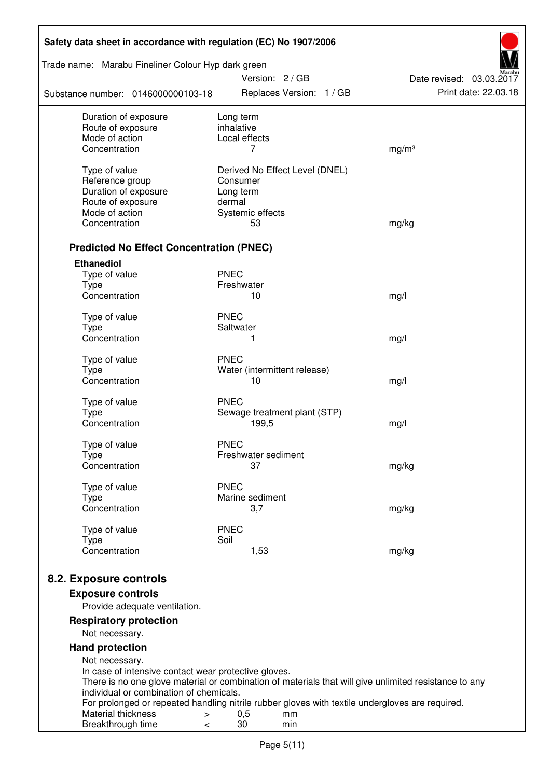| Safety data sheet in accordance with regulation (EC) No 1907/2006                                                                                |                         |                     |                                |                          |
|--------------------------------------------------------------------------------------------------------------------------------------------------|-------------------------|---------------------|--------------------------------|--------------------------|
| Trade name: Marabu Fineliner Colour Hyp dark green                                                                                               |                         | Version: 2 / GB     |                                | Date revised: 03.03.2017 |
| Substance number: 0146000000103-18                                                                                                               |                         |                     | Replaces Version: 1 / GB       | Print date: 22.03.18     |
| Duration of exposure<br>Route of exposure                                                                                                        | Long term<br>inhalative |                     |                                |                          |
| Mode of action                                                                                                                                   |                         | Local effects       |                                |                          |
| Concentration                                                                                                                                    |                         | 7                   |                                | mg/m <sup>3</sup>        |
| Type of value                                                                                                                                    |                         |                     | Derived No Effect Level (DNEL) |                          |
| Reference group                                                                                                                                  | Consumer                |                     |                                |                          |
| Duration of exposure                                                                                                                             | Long term               |                     |                                |                          |
| Route of exposure                                                                                                                                | dermal                  |                     |                                |                          |
| Mode of action                                                                                                                                   |                         | Systemic effects    |                                |                          |
| Concentration                                                                                                                                    |                         | 53                  |                                | mg/kg                    |
| <b>Predicted No Effect Concentration (PNEC)</b>                                                                                                  |                         |                     |                                |                          |
| <b>Ethanediol</b>                                                                                                                                |                         |                     |                                |                          |
| Type of value                                                                                                                                    | <b>PNEC</b>             |                     |                                |                          |
| <b>Type</b>                                                                                                                                      | Freshwater              |                     |                                |                          |
| Concentration                                                                                                                                    |                         | 10                  |                                | mg/l                     |
| Type of value                                                                                                                                    | <b>PNEC</b>             |                     |                                |                          |
| <b>Type</b>                                                                                                                                      | Saltwater               |                     |                                |                          |
| Concentration                                                                                                                                    |                         | 1                   |                                | mg/l                     |
| Type of value                                                                                                                                    | <b>PNEC</b>             |                     |                                |                          |
| <b>Type</b>                                                                                                                                      |                         |                     | Water (intermittent release)   |                          |
| Concentration                                                                                                                                    |                         | 10                  |                                | mg/l                     |
| Type of value                                                                                                                                    | <b>PNEC</b>             |                     |                                |                          |
| <b>Type</b>                                                                                                                                      |                         |                     | Sewage treatment plant (STP)   |                          |
| Concentration                                                                                                                                    |                         | 199,5               |                                | mg/l                     |
| Type of value                                                                                                                                    | <b>PNEC</b>             |                     |                                |                          |
| Type                                                                                                                                             |                         | Freshwater sediment |                                |                          |
| Concentration                                                                                                                                    |                         | 37                  |                                | mg/kg                    |
| Type of value                                                                                                                                    | <b>PNEC</b>             |                     |                                |                          |
| Type                                                                                                                                             |                         | Marine sediment     |                                |                          |
| Concentration                                                                                                                                    |                         | 3,7                 |                                | mg/kg                    |
|                                                                                                                                                  | <b>PNEC</b>             |                     |                                |                          |
| Type of value<br><b>Type</b>                                                                                                                     | Soil                    |                     |                                |                          |
| Concentration                                                                                                                                    |                         | 1,53                |                                | mg/kg                    |
|                                                                                                                                                  |                         |                     |                                |                          |
| 8.2. Exposure controls                                                                                                                           |                         |                     |                                |                          |
| <b>Exposure controls</b><br>Provide adequate ventilation.                                                                                        |                         |                     |                                |                          |
| <b>Respiratory protection</b>                                                                                                                    |                         |                     |                                |                          |
| Not necessary.                                                                                                                                   |                         |                     |                                |                          |
| <b>Hand protection</b>                                                                                                                           |                         |                     |                                |                          |
| Not necessary.                                                                                                                                   |                         |                     |                                |                          |
| In case of intensive contact wear protective gloves.                                                                                             |                         |                     |                                |                          |
| There is no one glove material or combination of materials that will give unlimited resistance to any<br>individual or combination of chemicals. |                         |                     |                                |                          |
| For prolonged or repeated handling nitrile rubber gloves with textile undergloves are required.                                                  |                         |                     |                                |                          |
| Material thickness<br>$\, > \,$                                                                                                                  |                         | 0,5                 | mm                             |                          |
| Breakthrough time<br>$\,<\,$                                                                                                                     |                         | 30                  | min                            |                          |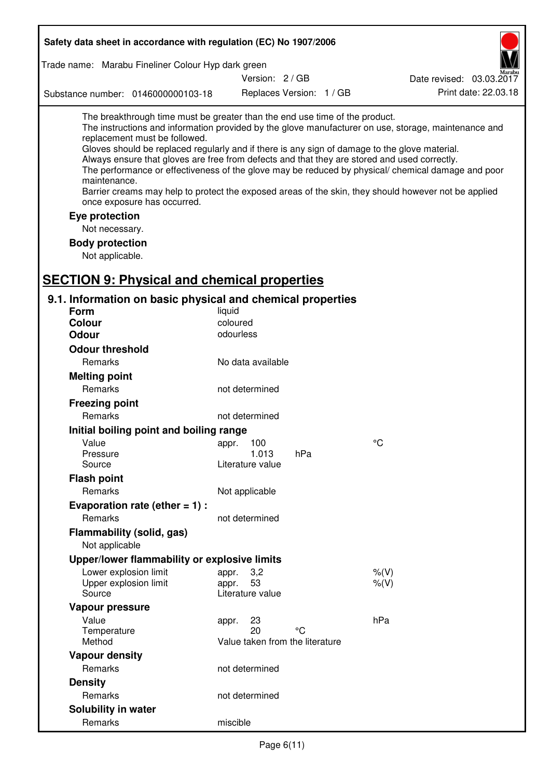| Safety data sheet in accordance with regulation (EC) No 1907/2006                                                                                                                                                                                                                                                                                                                                                                                                                                                                  |                                                      |                          |                                                                                                                                                                                                            |  |
|------------------------------------------------------------------------------------------------------------------------------------------------------------------------------------------------------------------------------------------------------------------------------------------------------------------------------------------------------------------------------------------------------------------------------------------------------------------------------------------------------------------------------------|------------------------------------------------------|--------------------------|------------------------------------------------------------------------------------------------------------------------------------------------------------------------------------------------------------|--|
| Trade name: Marabu Fineliner Colour Hyp dark green                                                                                                                                                                                                                                                                                                                                                                                                                                                                                 |                                                      |                          |                                                                                                                                                                                                            |  |
|                                                                                                                                                                                                                                                                                                                                                                                                                                                                                                                                    | Version: 2 / GB                                      |                          | Date revised: 03.03.2017                                                                                                                                                                                   |  |
| Substance number: 0146000000103-18                                                                                                                                                                                                                                                                                                                                                                                                                                                                                                 |                                                      | Replaces Version: 1 / GB | Print date: 22.03.18                                                                                                                                                                                       |  |
| The breakthrough time must be greater than the end use time of the product.<br>replacement must be followed.<br>Gloves should be replaced regularly and if there is any sign of damage to the glove material.<br>Always ensure that gloves are free from defects and that they are stored and used correctly.<br>maintenance.<br>Barrier creams may help to protect the exposed areas of the skin, they should however not be applied<br>once exposure has occurred.<br>Eye protection<br>Not necessary.<br><b>Body protection</b> |                                                      |                          | The instructions and information provided by the glove manufacturer on use, storage, maintenance and<br>The performance or effectiveness of the glove may be reduced by physical/ chemical damage and poor |  |
| Not applicable.                                                                                                                                                                                                                                                                                                                                                                                                                                                                                                                    |                                                      |                          |                                                                                                                                                                                                            |  |
| <b>SECTION 9: Physical and chemical properties</b><br>9.1. Information on basic physical and chemical properties                                                                                                                                                                                                                                                                                                                                                                                                                   |                                                      |                          |                                                                                                                                                                                                            |  |
| <b>Form</b>                                                                                                                                                                                                                                                                                                                                                                                                                                                                                                                        | liquid                                               |                          |                                                                                                                                                                                                            |  |
| <b>Colour</b>                                                                                                                                                                                                                                                                                                                                                                                                                                                                                                                      | coloured                                             |                          |                                                                                                                                                                                                            |  |
| <b>Odour</b>                                                                                                                                                                                                                                                                                                                                                                                                                                                                                                                       | odourless                                            |                          |                                                                                                                                                                                                            |  |
| <b>Odour threshold</b>                                                                                                                                                                                                                                                                                                                                                                                                                                                                                                             |                                                      |                          |                                                                                                                                                                                                            |  |
| Remarks                                                                                                                                                                                                                                                                                                                                                                                                                                                                                                                            | No data available                                    |                          |                                                                                                                                                                                                            |  |
| <b>Melting point</b><br>Remarks                                                                                                                                                                                                                                                                                                                                                                                                                                                                                                    | not determined                                       |                          |                                                                                                                                                                                                            |  |
| <b>Freezing point</b>                                                                                                                                                                                                                                                                                                                                                                                                                                                                                                              |                                                      |                          |                                                                                                                                                                                                            |  |
| Remarks                                                                                                                                                                                                                                                                                                                                                                                                                                                                                                                            | not determined                                       |                          |                                                                                                                                                                                                            |  |
| Initial boiling point and boiling range                                                                                                                                                                                                                                                                                                                                                                                                                                                                                            |                                                      |                          |                                                                                                                                                                                                            |  |
| Value                                                                                                                                                                                                                                                                                                                                                                                                                                                                                                                              | appr.<br>100                                         |                          | °C                                                                                                                                                                                                         |  |
| Pressure<br>Source                                                                                                                                                                                                                                                                                                                                                                                                                                                                                                                 | 1.013<br>Literature value                            | hPa                      |                                                                                                                                                                                                            |  |
| <b>Flash point</b>                                                                                                                                                                                                                                                                                                                                                                                                                                                                                                                 |                                                      |                          |                                                                                                                                                                                                            |  |
| Remarks                                                                                                                                                                                                                                                                                                                                                                                                                                                                                                                            | Not applicable                                       |                          |                                                                                                                                                                                                            |  |
| Evaporation rate (ether $= 1$ ) :                                                                                                                                                                                                                                                                                                                                                                                                                                                                                                  |                                                      |                          |                                                                                                                                                                                                            |  |
| Remarks                                                                                                                                                                                                                                                                                                                                                                                                                                                                                                                            | not determined                                       |                          |                                                                                                                                                                                                            |  |
| Flammability (solid, gas)<br>Not applicable                                                                                                                                                                                                                                                                                                                                                                                                                                                                                        |                                                      |                          |                                                                                                                                                                                                            |  |
| Upper/lower flammability or explosive limits                                                                                                                                                                                                                                                                                                                                                                                                                                                                                       |                                                      |                          |                                                                                                                                                                                                            |  |
| Lower explosion limit<br>Upper explosion limit<br>Source                                                                                                                                                                                                                                                                                                                                                                                                                                                                           | 3,2<br>appr.<br>53<br>appr.<br>Literature value      |                          | $%$ $(V)$<br>% (V)                                                                                                                                                                                         |  |
| Vapour pressure                                                                                                                                                                                                                                                                                                                                                                                                                                                                                                                    |                                                      |                          |                                                                                                                                                                                                            |  |
| Value<br>Temperature<br>Method                                                                                                                                                                                                                                                                                                                                                                                                                                                                                                     | 23<br>appr.<br>20<br>Value taken from the literature | $^{\circ}C$              | hPa                                                                                                                                                                                                        |  |
| <b>Vapour density</b>                                                                                                                                                                                                                                                                                                                                                                                                                                                                                                              |                                                      |                          |                                                                                                                                                                                                            |  |
| Remarks                                                                                                                                                                                                                                                                                                                                                                                                                                                                                                                            | not determined                                       |                          |                                                                                                                                                                                                            |  |
| <b>Density</b>                                                                                                                                                                                                                                                                                                                                                                                                                                                                                                                     |                                                      |                          |                                                                                                                                                                                                            |  |
| Remarks                                                                                                                                                                                                                                                                                                                                                                                                                                                                                                                            | not determined                                       |                          |                                                                                                                                                                                                            |  |
| Solubility in water                                                                                                                                                                                                                                                                                                                                                                                                                                                                                                                |                                                      |                          |                                                                                                                                                                                                            |  |
| Remarks                                                                                                                                                                                                                                                                                                                                                                                                                                                                                                                            | miscible                                             |                          |                                                                                                                                                                                                            |  |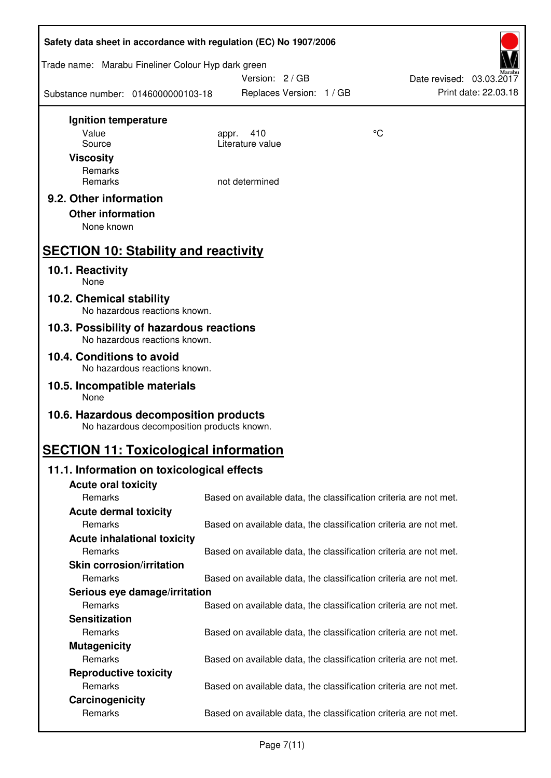| Safety data sheet in accordance with regulation (EC) No 1907/2006 |                                            |                                                                   |    |                          |  |
|-------------------------------------------------------------------|--------------------------------------------|-------------------------------------------------------------------|----|--------------------------|--|
| Trade name: Marabu Fineliner Colour Hyp dark green                |                                            | Version: 2/GB                                                     |    | Date revised: 03.03.2017 |  |
| Substance number: 0146000000103-18                                |                                            | Replaces Version: 1 / GB                                          |    | Print date: 22.03.18     |  |
| Ignition temperature                                              |                                            |                                                                   |    |                          |  |
| Value                                                             | appr.                                      | 410                                                               | °C |                          |  |
| Source                                                            |                                            | Literature value                                                  |    |                          |  |
| <b>Viscosity</b>                                                  |                                            |                                                                   |    |                          |  |
| Remarks                                                           |                                            |                                                                   |    |                          |  |
| Remarks                                                           |                                            | not determined                                                    |    |                          |  |
| 9.2. Other information                                            |                                            |                                                                   |    |                          |  |
| <b>Other information</b>                                          |                                            |                                                                   |    |                          |  |
| None known                                                        |                                            |                                                                   |    |                          |  |
|                                                                   |                                            |                                                                   |    |                          |  |
| <b>SECTION 10: Stability and reactivity</b>                       |                                            |                                                                   |    |                          |  |
| 10.1. Reactivity<br>None                                          |                                            |                                                                   |    |                          |  |
| 10.2. Chemical stability                                          | No hazardous reactions known.              |                                                                   |    |                          |  |
| 10.3. Possibility of hazardous reactions                          | No hazardous reactions known.              |                                                                   |    |                          |  |
| 10.4. Conditions to avoid                                         |                                            |                                                                   |    |                          |  |
| No hazardous reactions known.                                     |                                            |                                                                   |    |                          |  |
| 10.5. Incompatible materials<br>None                              |                                            |                                                                   |    |                          |  |
| 10.6. Hazardous decomposition products                            | No hazardous decomposition products known. |                                                                   |    |                          |  |
| <b>SECTION 11: Toxicological information</b>                      |                                            |                                                                   |    |                          |  |
| 11.1. Information on toxicological effects                        |                                            |                                                                   |    |                          |  |
| <b>Acute oral toxicity</b>                                        |                                            |                                                                   |    |                          |  |
| Remarks                                                           |                                            | Based on available data, the classification criteria are not met. |    |                          |  |
| <b>Acute dermal toxicity</b>                                      |                                            |                                                                   |    |                          |  |
| Remarks                                                           |                                            | Based on available data, the classification criteria are not met. |    |                          |  |
| <b>Acute inhalational toxicity</b>                                |                                            |                                                                   |    |                          |  |
| Remarks                                                           |                                            | Based on available data, the classification criteria are not met. |    |                          |  |
| <b>Skin corrosion/irritation</b>                                  |                                            |                                                                   |    |                          |  |
| Remarks                                                           |                                            | Based on available data, the classification criteria are not met. |    |                          |  |
| Serious eye damage/irritation                                     |                                            |                                                                   |    |                          |  |
| Remarks                                                           |                                            | Based on available data, the classification criteria are not met. |    |                          |  |
| <b>Sensitization</b>                                              |                                            |                                                                   |    |                          |  |
| Remarks                                                           |                                            | Based on available data, the classification criteria are not met. |    |                          |  |
| <b>Mutagenicity</b>                                               |                                            |                                                                   |    |                          |  |
| Remarks                                                           |                                            | Based on available data, the classification criteria are not met. |    |                          |  |
| <b>Reproductive toxicity</b>                                      |                                            |                                                                   |    |                          |  |
| Remarks                                                           |                                            | Based on available data, the classification criteria are not met. |    |                          |  |
| Carcinogenicity                                                   |                                            |                                                                   |    |                          |  |
| Remarks                                                           |                                            | Based on available data, the classification criteria are not met. |    |                          |  |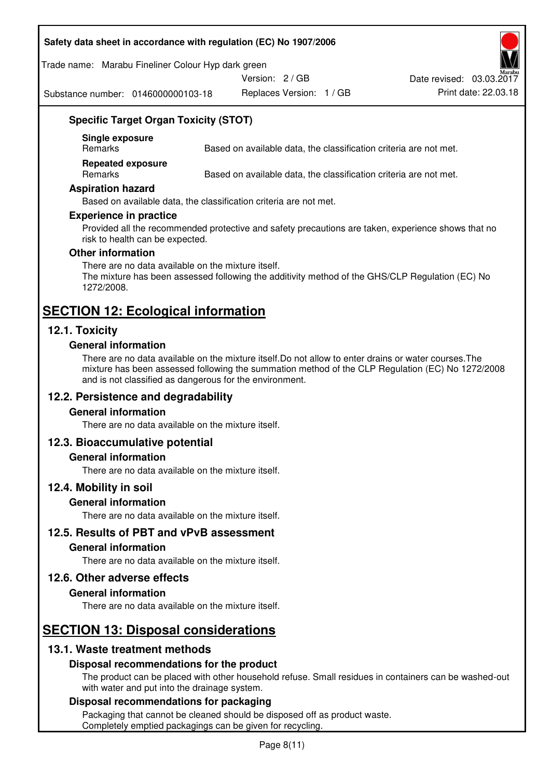#### **Safety data sheet in accordance with regulation (EC) No 1907/2006**

#### Trade name: Marabu Fineliner Colour Hyp dark green

Version: 2 / GB

Substance number: 0146000000103-18

Replaces Version: 1 / GB Print date: 22.03.18 Date revised: 03.03.2017

## **Specific Target Organ Toxicity (STOT)**

**Single exposure** 

Based on available data, the classification criteria are not met.

**Repeated exposure** 

Remarks Based on available data, the classification criteria are not met.

#### **Aspiration hazard**

Based on available data, the classification criteria are not met.

#### **Experience in practice**

Provided all the recommended protective and safety precautions are taken, experience shows that no risk to health can be expected.

#### **Other information**

There are no data available on the mixture itself. The mixture has been assessed following the additivity method of the GHS/CLP Regulation (EC) No 1272/2008.

## **SECTION 12: Ecological information**

## **12.1. Toxicity**

#### **General information**

There are no data available on the mixture itself.Do not allow to enter drains or water courses.The mixture has been assessed following the summation method of the CLP Regulation (EC) No 1272/2008 and is not classified as dangerous for the environment.

## **12.2. Persistence and degradability**

#### **General information**

There are no data available on the mixture itself.

#### **12.3. Bioaccumulative potential**

#### **General information**

There are no data available on the mixture itself.

#### **12.4. Mobility in soil**

#### **General information**

There are no data available on the mixture itself.

**12.5. Results of PBT and vPvB assessment** 

#### **General information**

There are no data available on the mixture itself.

#### **12.6. Other adverse effects**

#### **General information**

There are no data available on the mixture itself.

# **SECTION 13: Disposal considerations**

## **13.1. Waste treatment methods**

#### **Disposal recommendations for the product**

The product can be placed with other household refuse. Small residues in containers can be washed-out with water and put into the drainage system.

#### **Disposal recommendations for packaging**

Packaging that cannot be cleaned should be disposed off as product waste. Completely emptied packagings can be given for recycling.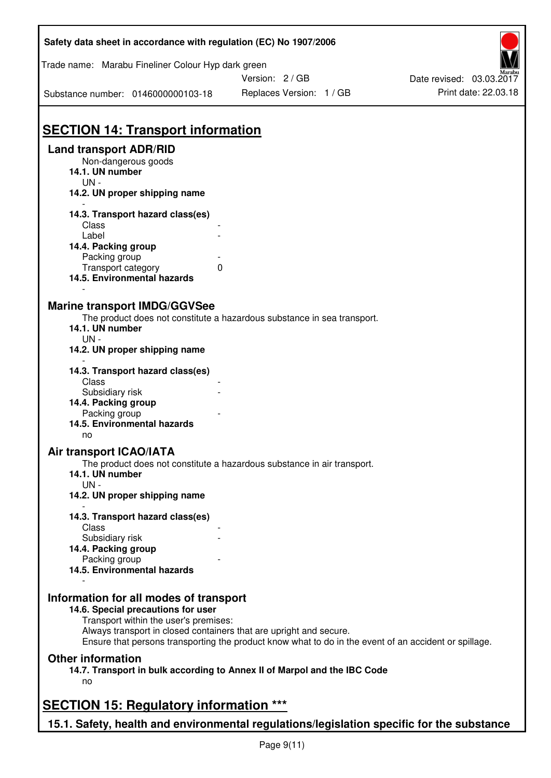| Safety data sheet in accordance with regulation (EC) No 1907/2006<br>Trade name: Marabu Fineliner Colour Hyp dark green |                                                                                                       |                      |  |  |  |
|-------------------------------------------------------------------------------------------------------------------------|-------------------------------------------------------------------------------------------------------|----------------------|--|--|--|
|                                                                                                                         |                                                                                                       |                      |  |  |  |
| Substance number: 0146000000103-18                                                                                      | Replaces Version: 1 / GB                                                                              | Print date: 22.03.18 |  |  |  |
| <b>SECTION 14: Transport information</b>                                                                                |                                                                                                       |                      |  |  |  |
| <b>Land transport ADR/RID</b><br>Non-dangerous goods                                                                    |                                                                                                       |                      |  |  |  |
| 14.1. UN number<br>$UN -$                                                                                               |                                                                                                       |                      |  |  |  |
| 14.2. UN proper shipping name                                                                                           |                                                                                                       |                      |  |  |  |
| 14.3. Transport hazard class(es)<br>Class                                                                               |                                                                                                       |                      |  |  |  |
| Label                                                                                                                   |                                                                                                       |                      |  |  |  |
| 14.4. Packing group                                                                                                     |                                                                                                       |                      |  |  |  |
| Packing group<br>Transport category                                                                                     | 0                                                                                                     |                      |  |  |  |
| 14.5. Environmental hazards                                                                                             |                                                                                                       |                      |  |  |  |
| <b>Marine transport IMDG/GGVSee</b><br>14.1. UN number                                                                  | The product does not constitute a hazardous substance in sea transport.                               |                      |  |  |  |
| $UN -$<br>14.2. UN proper shipping name                                                                                 |                                                                                                       |                      |  |  |  |
| 14.3. Transport hazard class(es)<br>Class                                                                               |                                                                                                       |                      |  |  |  |
| Subsidiary risk<br>14.4. Packing group                                                                                  |                                                                                                       |                      |  |  |  |
| Packing group                                                                                                           |                                                                                                       |                      |  |  |  |
| 14.5. Environmental hazards<br>no                                                                                       |                                                                                                       |                      |  |  |  |
| <b>Air transport ICAO/IATA</b>                                                                                          |                                                                                                       |                      |  |  |  |
| 14.1. UN number<br>$UN -$                                                                                               | The product does not constitute a hazardous substance in air transport.                               |                      |  |  |  |
| 14.2. UN proper shipping name                                                                                           |                                                                                                       |                      |  |  |  |
| 14.3. Transport hazard class(es)                                                                                        |                                                                                                       |                      |  |  |  |
| Class<br>Subsidiary risk                                                                                                |                                                                                                       |                      |  |  |  |
| 14.4. Packing group                                                                                                     |                                                                                                       |                      |  |  |  |
| Packing group                                                                                                           |                                                                                                       |                      |  |  |  |
| 14.5. Environmental hazards                                                                                             |                                                                                                       |                      |  |  |  |
| Information for all modes of transport<br>14.6. Special precautions for user                                            |                                                                                                       |                      |  |  |  |
| Transport within the user's premises:                                                                                   |                                                                                                       |                      |  |  |  |
| Always transport in closed containers that are upright and secure.                                                      | Ensure that persons transporting the product know what to do in the event of an accident or spillage. |                      |  |  |  |
| <b>Other information</b>                                                                                                |                                                                                                       |                      |  |  |  |
| no                                                                                                                      | 14.7. Transport in bulk according to Annex II of Marpol and the IBC Code                              |                      |  |  |  |
| <b>SECTION 15: Regulatory information ***</b>                                                                           |                                                                                                       |                      |  |  |  |
| 15.1. Safety, health and environmental regulations/legislation specific for the substance                               |                                                                                                       |                      |  |  |  |

٦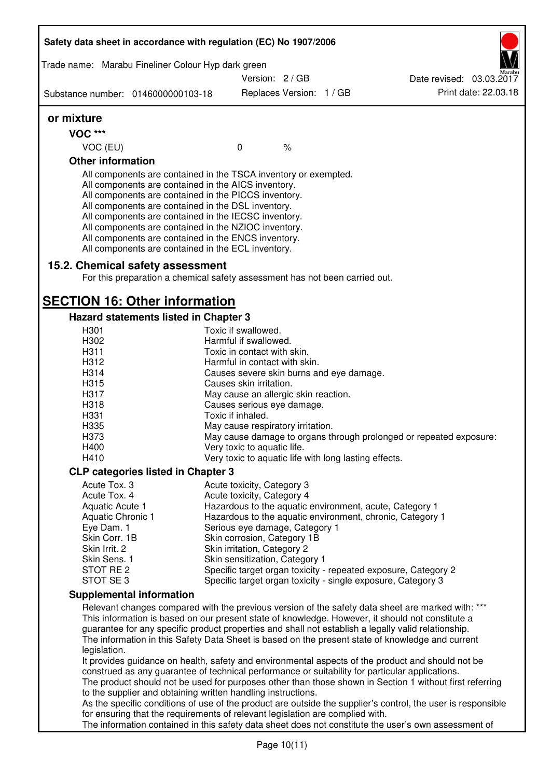| Trade name: Marabu Fineliner Colour Hyp dark green                                                                                                                                                                                                                                                                                                                                                                                                                | Version: 2/GB                                                  |                          |                                                                    |
|-------------------------------------------------------------------------------------------------------------------------------------------------------------------------------------------------------------------------------------------------------------------------------------------------------------------------------------------------------------------------------------------------------------------------------------------------------------------|----------------------------------------------------------------|--------------------------|--------------------------------------------------------------------|
| Substance number: 0146000000103-18                                                                                                                                                                                                                                                                                                                                                                                                                                |                                                                | Replaces Version: 1 / GB | Date revised: 03.03.2017<br>Print date: 22.03.18                   |
|                                                                                                                                                                                                                                                                                                                                                                                                                                                                   |                                                                |                          |                                                                    |
| or mixture<br><b>VOC ***</b>                                                                                                                                                                                                                                                                                                                                                                                                                                      |                                                                |                          |                                                                    |
|                                                                                                                                                                                                                                                                                                                                                                                                                                                                   |                                                                |                          |                                                                    |
| VOC (EU)                                                                                                                                                                                                                                                                                                                                                                                                                                                          | $\mathbf 0$                                                    | $\frac{1}{6}$            |                                                                    |
| <b>Other information</b>                                                                                                                                                                                                                                                                                                                                                                                                                                          |                                                                |                          |                                                                    |
| All components are contained in the TSCA inventory or exempted.<br>All components are contained in the AICS inventory.<br>All components are contained in the PICCS inventory.<br>All components are contained in the DSL inventory.<br>All components are contained in the IECSC inventory.<br>All components are contained in the NZIOC inventory.<br>All components are contained in the ENCS inventory.<br>All components are contained in the ECL inventory. |                                                                |                          |                                                                    |
| 15.2. Chemical safety assessment                                                                                                                                                                                                                                                                                                                                                                                                                                  |                                                                |                          |                                                                    |
| For this preparation a chemical safety assessment has not been carried out.                                                                                                                                                                                                                                                                                                                                                                                       |                                                                |                          |                                                                    |
| <b>SECTION 16: Other information</b>                                                                                                                                                                                                                                                                                                                                                                                                                              |                                                                |                          |                                                                    |
| Hazard statements listed in Chapter 3                                                                                                                                                                                                                                                                                                                                                                                                                             |                                                                |                          |                                                                    |
| H301                                                                                                                                                                                                                                                                                                                                                                                                                                                              | Toxic if swallowed.                                            |                          |                                                                    |
| H302                                                                                                                                                                                                                                                                                                                                                                                                                                                              | Harmful if swallowed.                                          |                          |                                                                    |
| H311                                                                                                                                                                                                                                                                                                                                                                                                                                                              | Toxic in contact with skin.                                    |                          |                                                                    |
| H312                                                                                                                                                                                                                                                                                                                                                                                                                                                              | Harmful in contact with skin.                                  |                          |                                                                    |
| H314                                                                                                                                                                                                                                                                                                                                                                                                                                                              | Causes severe skin burns and eye damage.                       |                          |                                                                    |
| H315                                                                                                                                                                                                                                                                                                                                                                                                                                                              | Causes skin irritation.                                        |                          |                                                                    |
| H317                                                                                                                                                                                                                                                                                                                                                                                                                                                              | May cause an allergic skin reaction.                           |                          |                                                                    |
| H318                                                                                                                                                                                                                                                                                                                                                                                                                                                              | Causes serious eye damage.                                     |                          |                                                                    |
| H331                                                                                                                                                                                                                                                                                                                                                                                                                                                              | Toxic if inhaled.                                              |                          |                                                                    |
| H335                                                                                                                                                                                                                                                                                                                                                                                                                                                              | May cause respiratory irritation.                              |                          |                                                                    |
| H373                                                                                                                                                                                                                                                                                                                                                                                                                                                              |                                                                |                          | May cause damage to organs through prolonged or repeated exposure: |
| H400                                                                                                                                                                                                                                                                                                                                                                                                                                                              | Very toxic to aquatic life.                                    |                          |                                                                    |
| H410                                                                                                                                                                                                                                                                                                                                                                                                                                                              | Very toxic to aquatic life with long lasting effects.          |                          |                                                                    |
| <b>CLP categories listed in Chapter 3</b>                                                                                                                                                                                                                                                                                                                                                                                                                         |                                                                |                          |                                                                    |
| Acute Tox. 3                                                                                                                                                                                                                                                                                                                                                                                                                                                      | Acute toxicity, Category 3                                     |                          |                                                                    |
| Acute Tox. 4                                                                                                                                                                                                                                                                                                                                                                                                                                                      | Acute toxicity, Category 4                                     |                          |                                                                    |
| Aquatic Acute 1                                                                                                                                                                                                                                                                                                                                                                                                                                                   | Hazardous to the aquatic environment, acute, Category 1        |                          |                                                                    |
| Aquatic Chronic 1                                                                                                                                                                                                                                                                                                                                                                                                                                                 | Hazardous to the aquatic environment, chronic, Category 1      |                          |                                                                    |
| Eye Dam. 1                                                                                                                                                                                                                                                                                                                                                                                                                                                        | Serious eye damage, Category 1                                 |                          |                                                                    |
| Skin Corr. 1B                                                                                                                                                                                                                                                                                                                                                                                                                                                     | Skin corrosion, Category 1B                                    |                          |                                                                    |
| Skin Irrit. 2                                                                                                                                                                                                                                                                                                                                                                                                                                                     | Skin irritation, Category 2                                    |                          |                                                                    |
| Skin Sens. 1                                                                                                                                                                                                                                                                                                                                                                                                                                                      | Skin sensitization, Category 1                                 |                          |                                                                    |
| STOT RE 2                                                                                                                                                                                                                                                                                                                                                                                                                                                         | Specific target organ toxicity - repeated exposure, Category 2 |                          |                                                                    |
| STOT SE3                                                                                                                                                                                                                                                                                                                                                                                                                                                          | Specific target organ toxicity - single exposure, Category 3   |                          |                                                                    |
| <b>Supplemental information</b>                                                                                                                                                                                                                                                                                                                                                                                                                                   |                                                                |                          |                                                                    |
| Relevant changes compared with the previous version of the safety data sheet are marked with: ***                                                                                                                                                                                                                                                                                                                                                                 |                                                                |                          |                                                                    |
| This information is based on our present state of knowledge. However, it should not constitute a                                                                                                                                                                                                                                                                                                                                                                  |                                                                |                          |                                                                    |
| guarantee for any specific product properties and shall not establish a legally valid relationship.                                                                                                                                                                                                                                                                                                                                                               |                                                                |                          |                                                                    |
| The information in this Safety Data Sheet is based on the present state of knowledge and current                                                                                                                                                                                                                                                                                                                                                                  |                                                                |                          |                                                                    |
| legislation.                                                                                                                                                                                                                                                                                                                                                                                                                                                      |                                                                |                          |                                                                    |
| It provides guidance on health, safety and environmental aspects of the product and should not be                                                                                                                                                                                                                                                                                                                                                                 |                                                                |                          |                                                                    |
| construed as any guarantee of technical performance or suitability for particular applications.                                                                                                                                                                                                                                                                                                                                                                   |                                                                |                          |                                                                    |
| The product should not be used for purposes other than those shown in Section 1 without first referring                                                                                                                                                                                                                                                                                                                                                           |                                                                |                          |                                                                    |
| to the supplier and obtaining written handling instructions.                                                                                                                                                                                                                                                                                                                                                                                                      |                                                                |                          |                                                                    |
| As the specific conditions of use of the product are outside the supplier's control, the user is responsible<br>for ensuring that the requirements of relevant legislation are complied with.                                                                                                                                                                                                                                                                     |                                                                |                          |                                                                    |
|                                                                                                                                                                                                                                                                                                                                                                                                                                                                   |                                                                |                          |                                                                    |